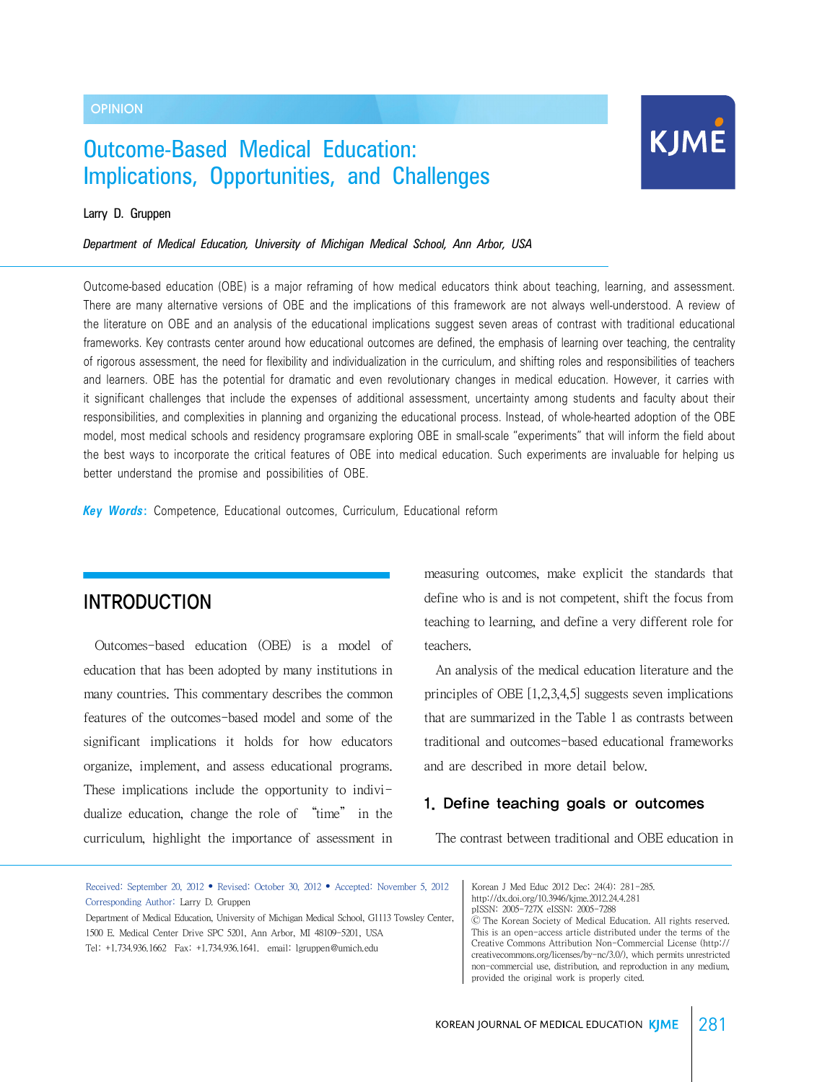#### **OPINION**

# Outcome-Based Medical Education: Implications, Opportunities, and Challenges



#### Larry D. Gruppen

*Department of Medical Education, University of Michigan Medical School, Ann Arbor, USA*

Outcome-based education (OBE) is a major reframing of how medical educators think about teaching, learning, and assessment. There are many alternative versions of OBE and the implications of this framework are not always well-understood. A review of the literature on OBE and an analysis of the educational implications suggest seven areas of contrast with traditional educational frameworks. Key contrasts center around how educational outcomes are defined, the emphasis of learning over teaching, the centrality of rigorous assessment, the need for flexibility and individualization in the curriculum, and shifting roles and responsibilities of teachers and learners. OBE has the potential for dramatic and even revolutionary changes in medical education. However, it carries with it significant challenges that include the expenses of additional assessment, uncertainty among students and faculty about their responsibilities, and complexities in planning and organizing the educational process. Instead, of whole-hearted adoption of the OBE model, most medical schools and residency programsare exploring OBE in small-scale "experiments" that will inform the field about the best ways to incorporate the critical features of OBE into medical education. Such experiments are invaluable for helping us better understand the promise and possibilities of OBE.

*Key Words***:** Competence, Educational outcomes, Curriculum, Educational reform

## **INTRODUCTION**

 Outcomes-based education (OBE) is a model of education that has been adopted by many institutions in many countries. This commentary describes the common features of the outcomes-based model and some of the significant implications it holds for how educators organize, implement, and assess educational programs. These implications include the opportunity to individualize education, change the role of "time" in the curriculum, highlight the importance of assessment in measuring outcomes, make explicit the standards that define who is and is not competent, shift the focus from teaching to learning, and define a very different role for teachers.

 An analysis of the medical education literature and the principles of OBE [1,2,3,4,5] suggests seven implications that are summarized in the Table 1 as contrasts between traditional and outcomes-based educational frameworks and are described in more detail below.

### 1. Define teaching goals or outcomes

The contrast between traditional and OBE education in

Received: September 20, 2012 • Revised: October 30, 2012 • Accepted: November 5, 2012 Corresponding Author: Larry D. Gruppen

Department of Medical Education, University of Michigan Medical School, G1113 Towsley Center, 1500 E. Medical Center Drive SPC 5201, Ann Arbor, MI 48109-5201, USA Tel: +1.734.936.1662 Fax: +1.734.936.1641. email: lgruppen@umich.edu

Korean J Med Educ 2012 Dec; 24(4): 281-285. http://dx.doi.org/10.3946/kjme.2012.24.4.281 pISSN: 2005-727X eISSN: 2005-7288

Ⓒ The Korean Society of Medical Education. All rights reserved. This is an open-access article distributed under the terms of the Creative Commons Attribution Non-Commercial License (http:// creativecommons.org/licenses/by-nc/3.0/), which permits unrestricted non-commercial use, distribution, and reproduction in any medium, provided the original work is properly cited.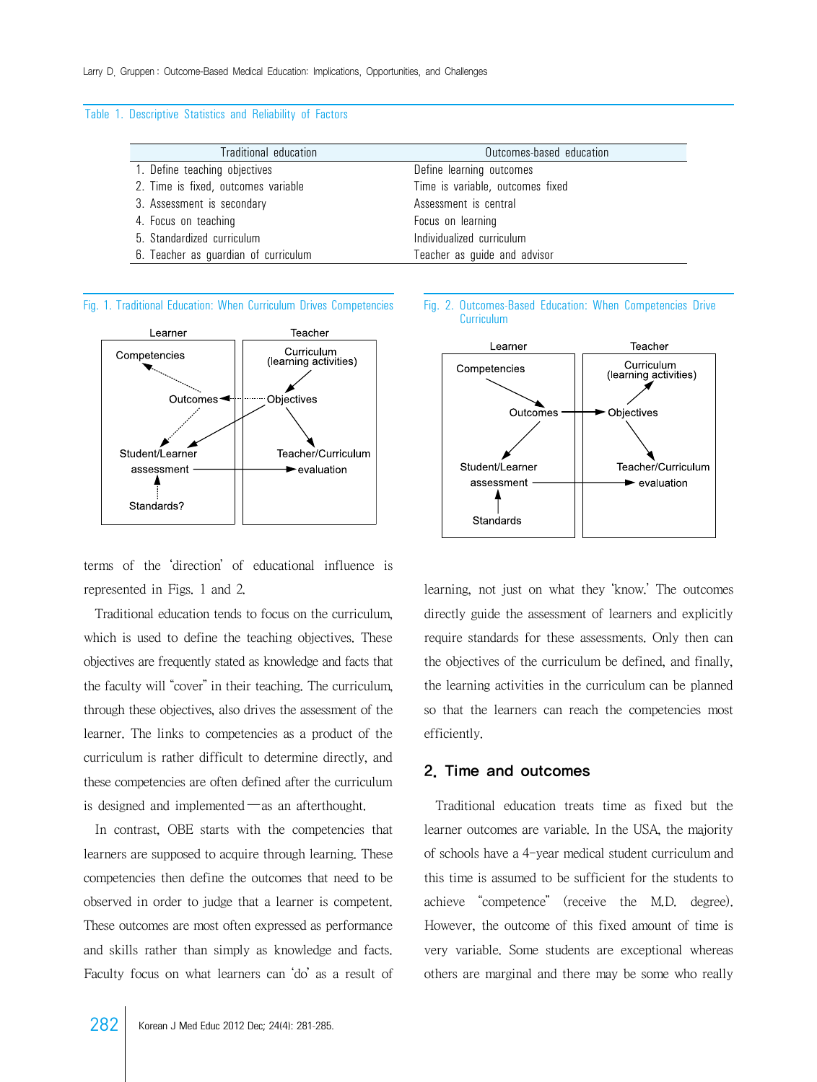#### Table 1. Descriptive Statistics and Reliability of Factors

| Traditional education                | Outcomes-based education         |
|--------------------------------------|----------------------------------|
| 1. Define teaching objectives        | Define learning outcomes         |
| 2. Time is fixed, outcomes variable  | Time is variable, outcomes fixed |
| 3. Assessment is secondary           | Assessment is central            |
| 4. Focus on teaching                 | Focus on learning                |
| 5. Standardized curriculum           | Individualized curriculum        |
| 6. Teacher as guardian of curriculum | Teacher as guide and advisor     |



terms of the 'direction' of educational influence is represented in Figs. 1 and 2.

 Traditional education tends to focus on the curriculum, which is used to define the teaching objectives. These objectives are frequently stated as knowledge and facts that the faculty will "cover" in their teaching. The curriculum, through these objectives, also drives the assessment of the learner. The links to competencies as a product of the curriculum is rather difficult to determine directly, and these competencies are often defined after the curriculum is designed and implemented―as an afterthought.

 In contrast, OBE starts with the competencies that learners are supposed to acquire through learning. These competencies then define the outcomes that need to be observed in order to judge that a learner is competent. These outcomes are most often expressed as performance and skills rather than simply as knowledge and facts. Faculty focus on what learners can 'do' as a result of





learning, not just on what they 'know.' The outcomes directly guide the assessment of learners and explicitly require standards for these assessments. Only then can the objectives of the curriculum be defined, and finally, the learning activities in the curriculum can be planned so that the learners can reach the competencies most efficiently.

#### 2. Time and outcomes

 Traditional education treats time as fixed but the learner outcomes are variable. In the USA, the majority of schools have a 4-year medical student curriculum and this time is assumed to be sufficient for the students to achieve "competence" (receive the M.D. degree). However, the outcome of this fixed amount of time is very variable. Some students are exceptional whereas others are marginal and there may be some who really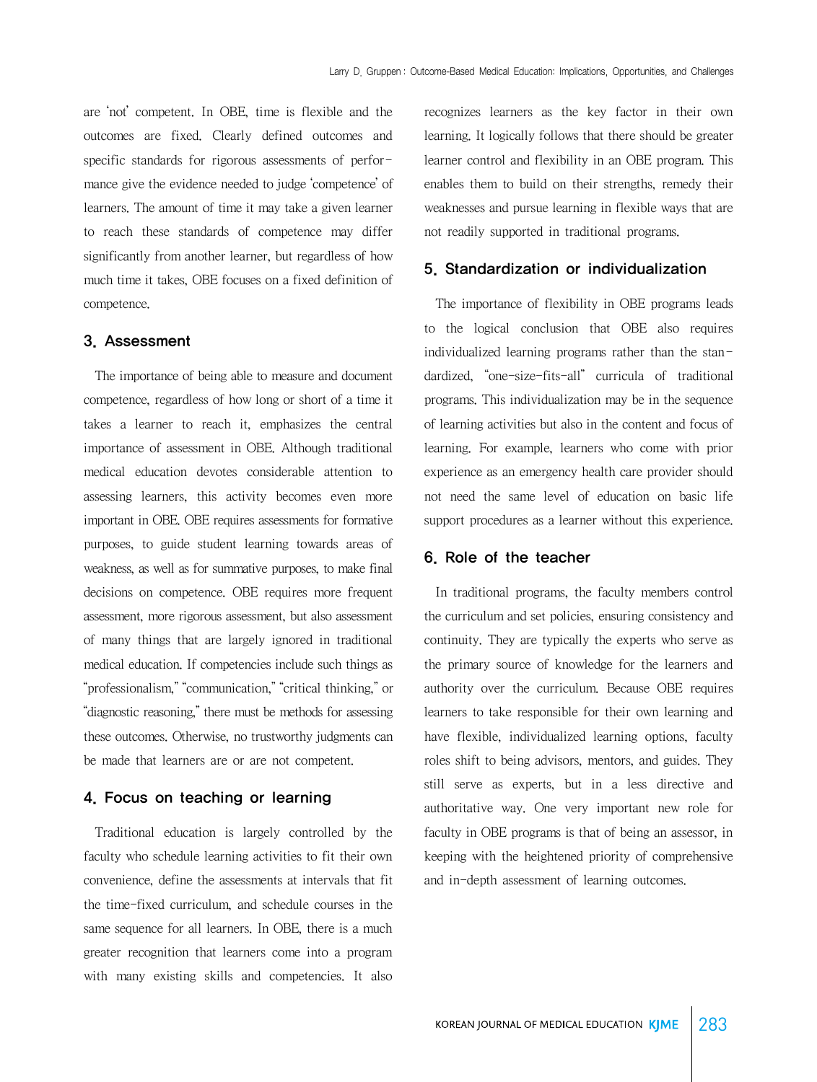are 'not' competent. In OBE, time is flexible and the outcomes are fixed. Clearly defined outcomes and specific standards for rigorous assessments of performance give the evidence needed to judge 'competence' of learners. The amount of time it may take a given learner to reach these standards of competence may differ significantly from another learner, but regardless of how much time it takes, OBE focuses on a fixed definition of competence.

#### 3. Assessment

 The importance of being able to measure and document competence, regardless of how long or short of a time it takes a learner to reach it, emphasizes the central importance of assessment in OBE. Although traditional medical education devotes considerable attention to assessing learners, this activity becomes even more important in OBE. OBE requires assessments for formative purposes, to guide student learning towards areas of weakness, as well as for summative purposes, to make final decisions on competence. OBE requires more frequent assessment, more rigorous assessment, but also assessment of many things that are largely ignored in traditional medical education. If competencies include such things as "professionalism," "communication," "critical thinking," or "diagnostic reasoning," there must be methods for assessing these outcomes. Otherwise, no trustworthy judgments can be made that learners are or are not competent.

#### 4. Focus on teaching or learning

 Traditional education is largely controlled by the faculty who schedule learning activities to fit their own convenience, define the assessments at intervals that fit the time-fixed curriculum, and schedule courses in the same sequence for all learners. In OBE, there is a much greater recognition that learners come into a program with many existing skills and competencies. It also

recognizes learners as the key factor in their own learning. It logically follows that there should be greater learner control and flexibility in an OBE program. This enables them to build on their strengths, remedy their weaknesses and pursue learning in flexible ways that are not readily supported in traditional programs.

#### 5. Standardization or individualization

 The importance of flexibility in OBE programs leads to the logical conclusion that OBE also requires individualized learning programs rather than the standardized, "one-size-fits-all" curricula of traditional programs. This individualization may be in the sequence of learning activities but also in the content and focus of learning. For example, learners who come with prior experience as an emergency health care provider should not need the same level of education on basic life support procedures as a learner without this experience.

#### 6. Role of the teacher

 In traditional programs, the faculty members control the curriculum and set policies, ensuring consistency and continuity. They are typically the experts who serve as the primary source of knowledge for the learners and authority over the curriculum. Because OBE requires learners to take responsible for their own learning and have flexible, individualized learning options, faculty roles shift to being advisors, mentors, and guides. They still serve as experts, but in a less directive and authoritative way. One very important new role for faculty in OBE programs is that of being an assessor, in keeping with the heightened priority of comprehensive and in-depth assessment of learning outcomes.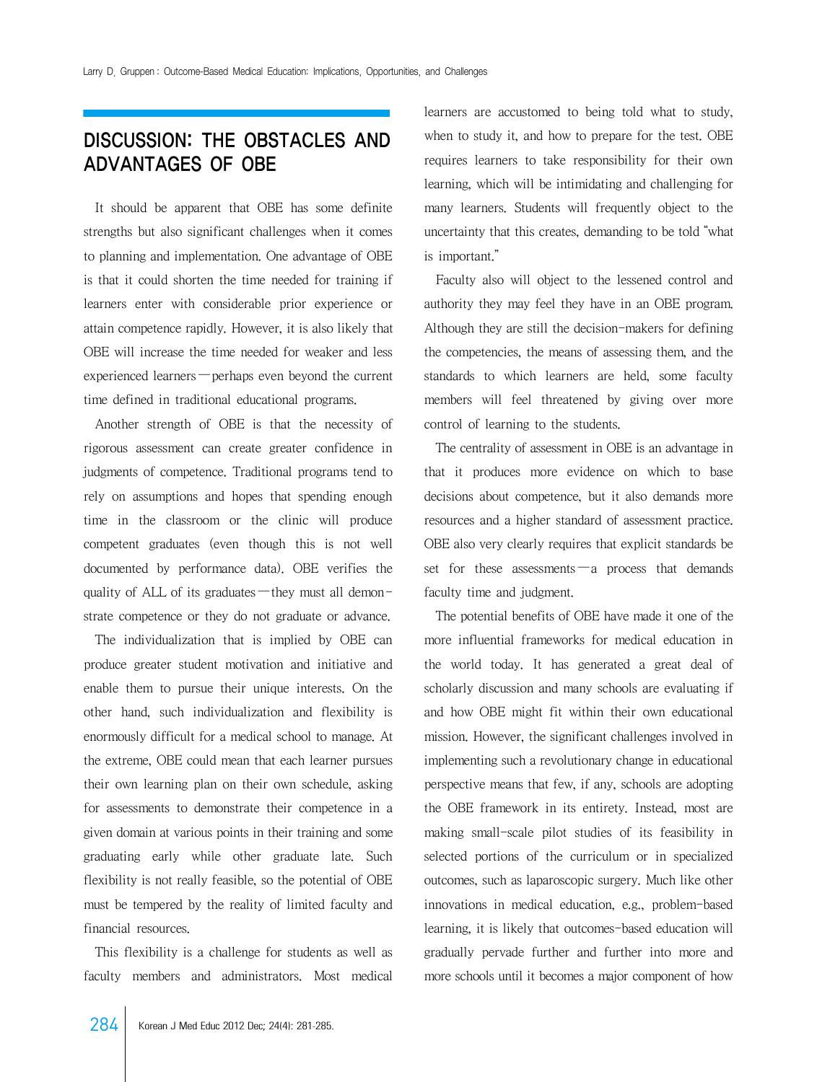# DISCUSSION: THE OBSTACLES AND ADVANTAGES OF OBE

 It should be apparent that OBE has some definite strengths but also significant challenges when it comes to planning and implementation. One advantage of OBE is that it could shorten the time needed for training if learners enter with considerable prior experience or attain competence rapidly. However, it is also likely that OBE will increase the time needed for weaker and less experienced learners —perhaps even beyond the current time defined in traditional educational programs.

 Another strength of OBE is that the necessity of rigorous assessment can create greater confidence in judgments of competence. Traditional programs tend to rely on assumptions and hopes that spending enough time in the classroom or the clinic will produce competent graduates (even though this is not well documented by performance data). OBE verifies the quality of ALL of its graduates —they must all demonstrate competence or they do not graduate or advance.

 The individualization that is implied by OBE can produce greater student motivation and initiative and enable them to pursue their unique interests. On the other hand, such individualization and flexibility is enormously difficult for a medical school to manage. At the extreme, OBE could mean that each learner pursues their own learning plan on their own schedule, asking for assessments to demonstrate their competence in a given domain at various points in their training and some graduating early while other graduate late. Such flexibility is not really feasible, so the potential of OBE must be tempered by the reality of limited faculty and financial resources.

 This flexibility is a challenge for students as well as faculty members and administrators. Most medical

learners are accustomed to being told what to study, when to study it, and how to prepare for the test. OBE requires learners to take responsibility for their own learning, which will be intimidating and challenging for many learners. Students will frequently object to the uncertainty that this creates, demanding to be told "what is important."

 Faculty also will object to the lessened control and authority they may feel they have in an OBE program. Although they are still the decision-makers for defining the competencies, the means of assessing them, and the standards to which learners are held, some faculty members will feel threatened by giving over more control of learning to the students.

 The centrality of assessment in OBE is an advantage in that it produces more evidence on which to base decisions about competence, but it also demands more resources and a higher standard of assessment practice. OBE also very clearly requires that explicit standards be set for these assessments —a process that demands faculty time and judgment.

 The potential benefits of OBE have made it one of the more influential frameworks for medical education in the world today. It has generated a great deal of scholarly discussion and many schools are evaluating if and how OBE might fit within their own educational mission. However, the significant challenges involved in implementing such a revolutionary change in educational perspective means that few, if any, schools are adopting the OBE framework in its entirety. Instead, most are making small-scale pilot studies of its feasibility in selected portions of the curriculum or in specialized outcomes, such as laparoscopic surgery. Much like other innovations in medical education, e.g., problem-based learning, it is likely that outcomes-based education will gradually pervade further and further into more and more schools until it becomes a major component of how